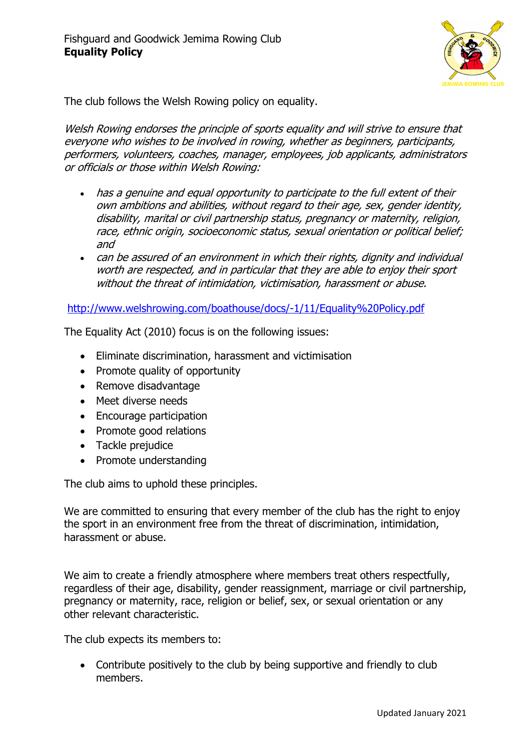

The club follows the Welsh Rowing policy on equality.

Welsh Rowing endorses the principle of sports equality and will strive to ensure that everyone who wishes to be involved in rowing, whether as beginners, participants, performers, volunteers, coaches, manager, employees, job applicants, administrators or officials or those within Welsh Rowing:

- has a genuine and equal opportunity to participate to the full extent of their own ambitions and abilities, without regard to their age, sex, gender identity, disability, marital or civil partnership status, pregnancy or maternity, religion, race, ethnic origin, socioeconomic status, sexual orientation or political belief; and
- can be assured of an environment in which their rights, dignity and individual worth are respected, and in particular that they are able to enjoy their sport without the threat of intimidation, victimisation, harassment or abuse.

http://www.welshrowing.com/boathouse/docs/-1/11/Equality%20Policy.pdf

The Equality Act (2010) focus is on the following issues:

- Eliminate discrimination, harassment and victimisation
- Promote quality of opportunity
- Remove disadvantage
- Meet diverse needs
- Encourage participation
- Promote good relations
- Tackle prejudice
- Promote understanding

The club aims to uphold these principles.

We are committed to ensuring that every member of the club has the right to enjoy the sport in an environment free from the threat of discrimination, intimidation, harassment or abuse.

We aim to create a friendly atmosphere where members treat others respectfully, regardless of their age, disability, gender reassignment, marriage or civil partnership, pregnancy or maternity, race, religion or belief, sex, or sexual orientation or any other relevant characteristic.

The club expects its members to:

• Contribute positively to the club by being supportive and friendly to club members.